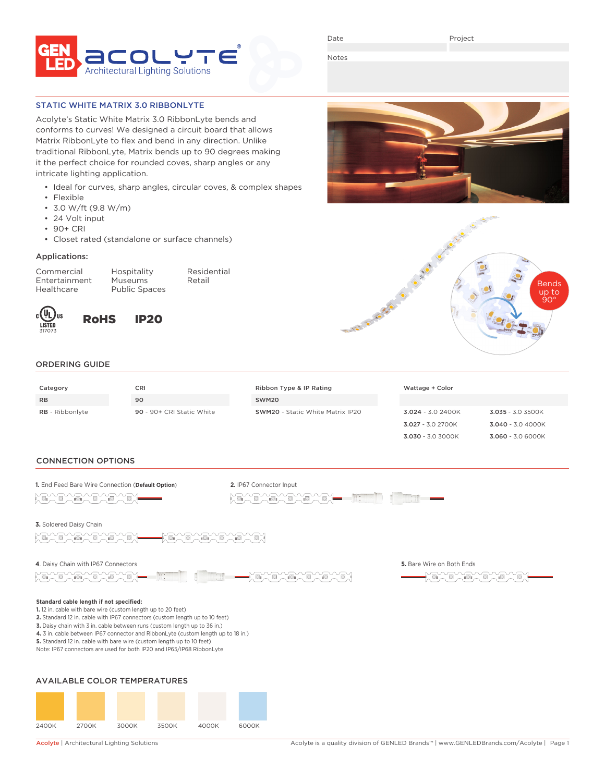

Date

Project

Notes

## STATIC WHITE MATRIX 3.0 RIBBONLYTE

Acolyte's Static White Matrix 3.0 RibbonLyte bends and conforms to curves! We designed a circuit board that allows Matrix RibbonLyte to flex and bend in any direction. Unlike traditional RibbonLyte, Matrix bends up to 90 degrees making it the perfect choice for rounded coves, sharp angles or any intricate lighting application.

- Ideal for curves, sharp angles, circular coves, & complex shapes
- Flexible
- 3.0 W/ft (9.8 W/m)
- 24 Volt input
- 90+ CRI
- Closet rated (standalone or surface channels)

### Applications:

Commercial Hospitality Residential Healthcare Public Spaces

Entertainment Museums Retail



RoHS IP20





3.030 - 3.0 3000K 3.060 - 3.0 6000K

# ORDERING GUIDE

| Category               | <b>CRI</b>                | Ribbon Type & IP Rating                 | Wattage + Color    |                    |
|------------------------|---------------------------|-----------------------------------------|--------------------|--------------------|
| <b>RB</b>              | 90                        | SWM20                                   |                    |                    |
| <b>RB</b> - Ribbonlyte | 90 - 90+ CRI Static White | <b>SWM20</b> - Static White Matrix IP20 | $3.024 - 3.02400K$ | $3.035 - 3.03500K$ |
|                        |                           |                                         | 3.027 - 3.0 2700K  | $3.040 - 3.04000K$ |

## CONNECTION OPTIONS



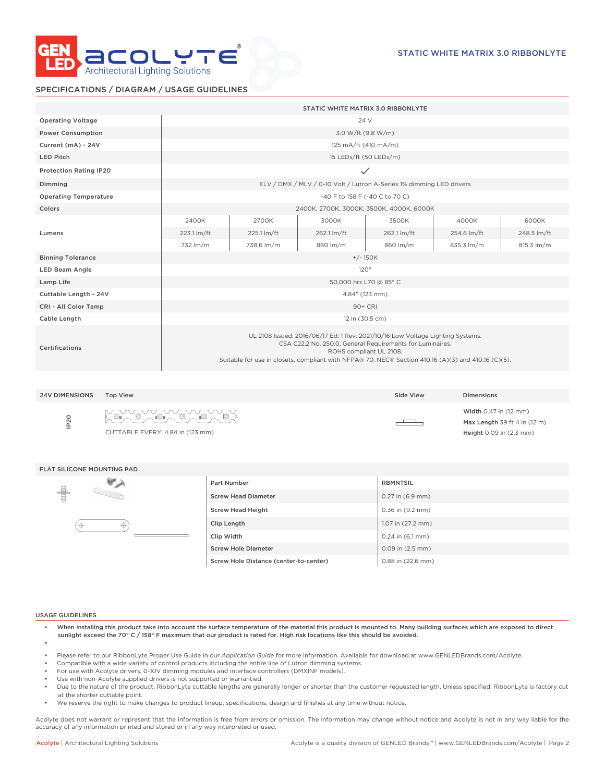

## SPECIFICATIONS / DIAGRAM / USAGE GUIDELINES

|                               | STATIC WHITE MATRIX 3.0 RIBBONLYTE                                                                                                                                                                                                                                            |             |             |             |             |             |
|-------------------------------|-------------------------------------------------------------------------------------------------------------------------------------------------------------------------------------------------------------------------------------------------------------------------------|-------------|-------------|-------------|-------------|-------------|
| <b>Operating Voltage</b>      | 24 V                                                                                                                                                                                                                                                                          |             |             |             |             |             |
| <b>Power Consumption</b>      | 3.0 W/ft (9.8 W/m)                                                                                                                                                                                                                                                            |             |             |             |             |             |
| Current (mA) - 24V            | 125 mA/ft (410 mA/m)                                                                                                                                                                                                                                                          |             |             |             |             |             |
| <b>LED Pitch</b>              | 15 LEDs/ft (50 LEDs/m)                                                                                                                                                                                                                                                        |             |             |             |             |             |
| <b>Protection Rating IP20</b> | $\checkmark$                                                                                                                                                                                                                                                                  |             |             |             |             |             |
| Dimming                       | ELV / DMX / MLV / 0-10 Volt / Lutron A-Series 1% dimming LED drivers                                                                                                                                                                                                          |             |             |             |             |             |
| <b>Operating Temperature</b>  | -40 F to 158 F (-40 C to 70 C)                                                                                                                                                                                                                                                |             |             |             |             |             |
| Colors                        | 2400K, 2700K, 3000K, 3500K, 4000K, 6000K                                                                                                                                                                                                                                      |             |             |             |             |             |
|                               | 2400K                                                                                                                                                                                                                                                                         | 2700K       | 3000K       | 3500K       | 4000K       | 6000K       |
| Lumens                        | 223.1 lm/ft                                                                                                                                                                                                                                                                   | 225.1 lm/ft | 262.1 lm/ft | 262.1 lm/ft | 254.6 lm/ft | 248.5 lm/ft |
|                               | 732 lm/m                                                                                                                                                                                                                                                                      | 738.6 lm/m  | 860 lm/m    | 860 lm/m    | 835.3 lm/m  | 815.3 lm/m  |
| <b>Binning Tolerance</b>      | $+/- 150K$                                                                                                                                                                                                                                                                    |             |             |             |             |             |
| <b>LED Beam Angle</b>         | 120°                                                                                                                                                                                                                                                                          |             |             |             |             |             |
| Lamp Life                     | 50,000 hrs L70 @ 85° C                                                                                                                                                                                                                                                        |             |             |             |             |             |
| Cuttable Length - 24V         | 4.84" (123 mm)                                                                                                                                                                                                                                                                |             |             |             |             |             |
| CRI - All Color Temp          | 90+ CRI                                                                                                                                                                                                                                                                       |             |             |             |             |             |
| Cable Length                  | 12 in (30.5 cm)                                                                                                                                                                                                                                                               |             |             |             |             |             |
| Certifications                | UL 2108 Issued: 2016/06/17 Ed: 1 Rev: 2021/10/16 Low Voltage Lighting Systems.<br>CSA C22.2 No. 250.0, General Requirements for Luminaires.<br>ROHS compliant UL 2108.<br>Suitable for use in closets, compliant with NFPA® 70, NEC® Section 410.16 (A)(3) and 410.16 (C)(5). |             |             |             |             |             |

| <b>24V DIMENSIONS</b> | Top View                                                    | Side View | <b>Dimensions</b>                                                                                 |
|-----------------------|-------------------------------------------------------------|-----------|---------------------------------------------------------------------------------------------------|
| IP <sub>20</sub>      | <b>HOLO ADAMS ADAMS</b><br>CUTTABLE EVERY: 4.84 in (123 mm) |           | <b>Width 0.47 in (12 mm)</b><br>Max Length 39 ft 4 in $(12 \text{ m})$<br>Height 0.09 in (2.3 mm) |

#### FLAT SILICONE MOUNTING PAD



| Part Number                            | <b>RBMNTSIL</b>      |
|----------------------------------------|----------------------|
| <b>Screw Head Diameter</b>             | $0.27$ in $(6.9$ mm) |
| <b>Screw Head Height</b>               | 0.36 in (9.2 mm)     |
| Clip Length                            | 1.07 in (27.2 mm)    |
| Clip Width                             | $0.24$ in $(6.1$ mm) |
| <b>Screw Hole Diameter</b>             | $0.09$ in $(2.5$ mm) |
| Screw Hole Distance (center-to-center) | 0.88 in (22.6 mm)    |

#### USAGE GUIDELINES

- When installing this product take into account the surface temperature of the material this product is mounted to. Many building surfaces which are exposed to direct sunlight exceed the 70° C / 158° F maximum that our product is rated for. High risk locations like this should be avoided. •
- Please refer to our RibbonLyte Proper Use Guide in our *Application Guide* for more information. Available for download at www.GENLEDBrands.com/Acolyte.
- Compatible with a wide variety of control products including the entire line of Lutron dimming systems.
- For use with Acolyte drivers, 0-10V dimming modules and interface controllers (DMXINF models).
- Use with non-Acolyte supplied drivers is not supported or warrantied.
- Due to the nature of the product, RibbonLyte cuttable lengths are generally longer or shorter than the customer requested length. Unless specified, RibbonLyte is factory cut at the shorter cuttable point.
- We reserve the right to make changes to product lineup, specifications, design and finishes at any time without notice.

Acolyte does not warrant or represent that the information is free from errors or omission. The information may change without notice and Acolyte is not in any way liable for the accuracy of any information printed and stored or in any way interpreted or used.